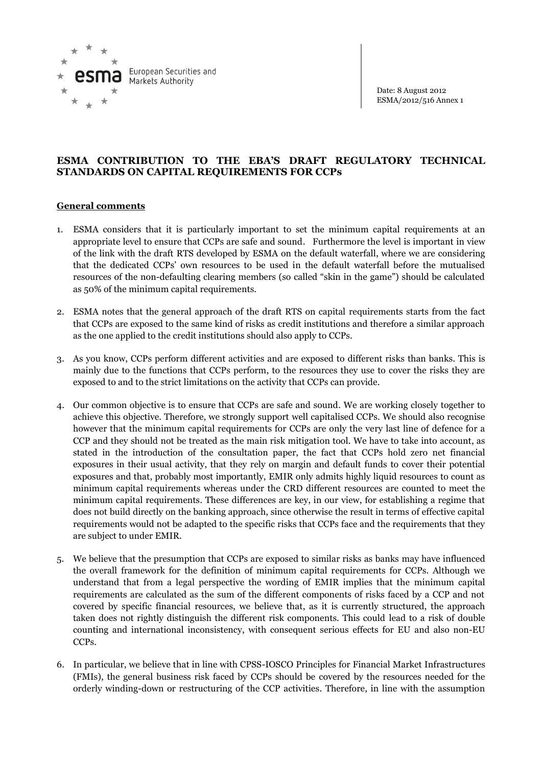

Date: 8 August 2012 ESMA/2012/516 Annex 1

## **ESMA CONTRIBUTION TO THE EBA'S DRAFT REGULATORY TECHNICAL STANDARDS ON CAPITAL REQUIREMENTS FOR CCPs**

## **General comments**

- 1. ESMA considers that it is particularly important to set the minimum capital requirements at an appropriate level to ensure that CCPs are safe and sound. Furthermore the level is important in view of the link with the draft RTS developed by ESMA on the default waterfall, where we are considering that the dedicated CCPs' own resources to be used in the default waterfall before the mutualised resources of the non-defaulting clearing members (so called "skin in the game") should be calculated as 50% of the minimum capital requirements.
- 2. ESMA notes that the general approach of the draft RTS on capital requirements starts from the fact that CCPs are exposed to the same kind of risks as credit institutions and therefore a similar approach as the one applied to the credit institutions should also apply to CCPs.
- 3. As you know, CCPs perform different activities and are exposed to different risks than banks. This is mainly due to the functions that CCPs perform, to the resources they use to cover the risks they are exposed to and to the strict limitations on the activity that CCPs can provide.
- 4. Our common objective is to ensure that CCPs are safe and sound. We are working closely together to achieve this objective. Therefore, we strongly support well capitalised CCPs. We should also recognise however that the minimum capital requirements for CCPs are only the very last line of defence for a CCP and they should not be treated as the main risk mitigation tool. We have to take into account, as stated in the introduction of the consultation paper, the fact that CCPs hold zero net financial exposures in their usual activity, that they rely on margin and default funds to cover their potential exposures and that, probably most importantly, EMIR only admits highly liquid resources to count as minimum capital requirements whereas under the CRD different resources are counted to meet the minimum capital requirements. These differences are key, in our view, for establishing a regime that does not build directly on the banking approach, since otherwise the result in terms of effective capital requirements would not be adapted to the specific risks that CCPs face and the requirements that they are subject to under EMIR.
- 5. We believe that the presumption that CCPs are exposed to similar risks as banks may have influenced the overall framework for the definition of minimum capital requirements for CCPs. Although we understand that from a legal perspective the wording of EMIR implies that the minimum capital requirements are calculated as the sum of the different components of risks faced by a CCP and not covered by specific financial resources, we believe that, as it is currently structured, the approach taken does not rightly distinguish the different risk components. This could lead to a risk of double counting and international inconsistency, with consequent serious effects for EU and also non-EU CCPs.
- 6. In particular, we believe that in line with CPSS-IOSCO Principles for Financial Market Infrastructures (FMIs), the general business risk faced by CCPs should be covered by the resources needed for the orderly winding-down or restructuring of the CCP activities. Therefore, in line with the assumption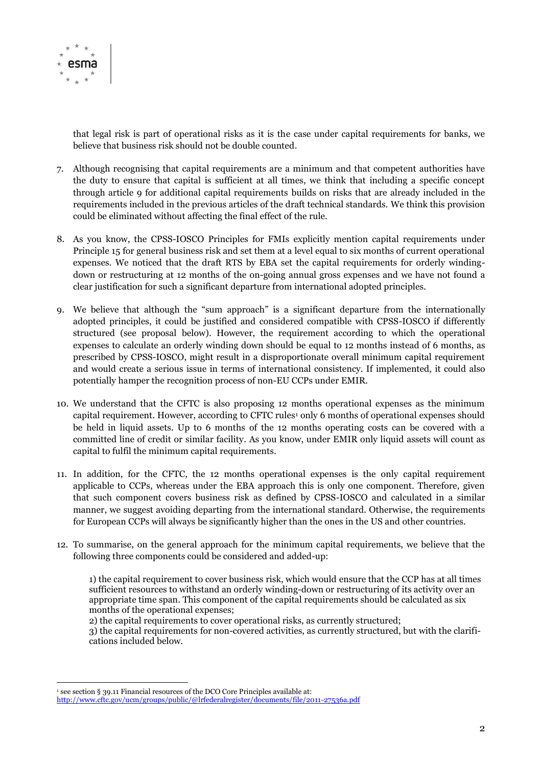

that legal risk is part of operational risks as it is the case under capital requirements for banks, we believe that business risk should not be double counted.

- 7. Although recognising that capital requirements are a minimum and that competent authorities have the duty to ensure that capital is sufficient at all times, we think that including a specific concept through article 9 for additional capital requirements builds on risks that are already included in the requirements included in the previous articles of the draft technical standards. We think this provision could be eliminated without affecting the final effect of the rule.
- 8. As you know, the CPSS-IOSCO Principles for FMIs explicitly mention capital requirements under Principle 15 for general business risk and set them at a level equal to six months of current operational expenses. We noticed that the draft RTS by EBA set the capital requirements for orderly windingdown or restructuring at 12 months of the on-going annual gross expenses and we have not found a clear justification for such a significant departure from international adopted principles.
- 9. We believe that although the "sum approach" is a significant departure from the internationally adopted principles, it could be justified and considered compatible with CPSS-IOSCO if differently structured (see proposal below). However, the requirement according to which the operational expenses to calculate an orderly winding down should be equal to 12 months instead of 6 months, as prescribed by CPSS-IOSCO, might result in a disproportionate overall minimum capital requirement and would create a serious issue in terms of international consistency. If implemented, it could also potentially hamper the recognition process of non-EU CCPs under EMIR.
- 10. We understand that the CFTC is also proposing 12 months operational expenses as the minimum capital requirement. However, according to CFTC rules<sup>1</sup> only 6 months of operational expenses should be held in liquid assets. Up to 6 months of the 12 months operating costs can be covered with a committed line of credit or similar facility. As you know, under EMIR only liquid assets will count as capital to fulfil the minimum capital requirements.
- 11. In addition, for the CFTC, the 12 months operational expenses is the only capital requirement applicable to CCPs, whereas under the EBA approach this is only one component. Therefore, given that such component covers business risk as defined by CPSS-IOSCO and calculated in a similar manner, we suggest avoiding departing from the international standard. Otherwise, the requirements for European CCPs will always be significantly higher than the ones in the US and other countries.
- 12. To summarise, on the general approach for the minimum capital requirements, we believe that the following three components could be considered and added-up:

1) the capital requirement to cover business risk, which would ensure that the CCP has at all times sufficient resources to withstand an orderly winding-down or restructuring of its activity over an appropriate time span. This component of the capital requirements should be calculated as six months of the operational expenses;

2) the capital requirements to cover operational risks, as currently structured;

3) the capital requirements for non-covered activities, as currently structured, but with the clarifications included below.

 $\overline{a}$ 

see section § 39.11 Financial resources of the DCO Core Principles available at:

<http://www.cftc.gov/ucm/groups/public/@lrfederalregister/documents/file/2011-27536a.pdf>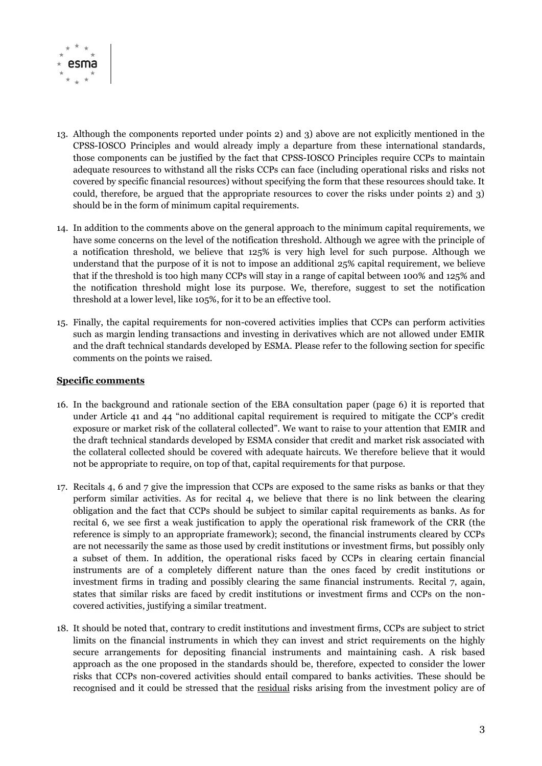

- 13. Although the components reported under points 2) and 3) above are not explicitly mentioned in the CPSS-IOSCO Principles and would already imply a departure from these international standards, those components can be justified by the fact that CPSS-IOSCO Principles require CCPs to maintain adequate resources to withstand all the risks CCPs can face (including operational risks and risks not covered by specific financial resources) without specifying the form that these resources should take. It could, therefore, be argued that the appropriate resources to cover the risks under points 2) and 3) should be in the form of minimum capital requirements.
- 14. In addition to the comments above on the general approach to the minimum capital requirements, we have some concerns on the level of the notification threshold. Although we agree with the principle of a notification threshold, we believe that 125% is very high level for such purpose. Although we understand that the purpose of it is not to impose an additional 25% capital requirement, we believe that if the threshold is too high many CCPs will stay in a range of capital between 100% and 125% and the notification threshold might lose its purpose. We, therefore, suggest to set the notification threshold at a lower level, like 105%, for it to be an effective tool.
- 15. Finally, the capital requirements for non-covered activities implies that CCPs can perform activities such as margin lending transactions and investing in derivatives which are not allowed under EMIR and the draft technical standards developed by ESMA. Please refer to the following section for specific comments on the points we raised.

## **Specific comments**

- 16. In the background and rationale section of the EBA consultation paper (page 6) it is reported that under Article 41 and 44 "no additional capital requirement is required to mitigate the CCP's credit exposure or market risk of the collateral collected". We want to raise to your attention that EMIR and the draft technical standards developed by ESMA consider that credit and market risk associated with the collateral collected should be covered with adequate haircuts. We therefore believe that it would not be appropriate to require, on top of that, capital requirements for that purpose.
- 17. Recitals 4, 6 and 7 give the impression that CCPs are exposed to the same risks as banks or that they perform similar activities. As for recital 4, we believe that there is no link between the clearing obligation and the fact that CCPs should be subject to similar capital requirements as banks. As for recital 6, we see first a weak justification to apply the operational risk framework of the CRR (the reference is simply to an appropriate framework); second, the financial instruments cleared by CCPs are not necessarily the same as those used by credit institutions or investment firms, but possibly only a subset of them. In addition, the operational risks faced by CCPs in clearing certain financial instruments are of a completely different nature than the ones faced by credit institutions or investment firms in trading and possibly clearing the same financial instruments. Recital 7, again, states that similar risks are faced by credit institutions or investment firms and CCPs on the noncovered activities, justifying a similar treatment.
- 18. It should be noted that, contrary to credit institutions and investment firms, CCPs are subject to strict limits on the financial instruments in which they can invest and strict requirements on the highly secure arrangements for depositing financial instruments and maintaining cash. A risk based approach as the one proposed in the standards should be, therefore, expected to consider the lower risks that CCPs non-covered activities should entail compared to banks activities. These should be recognised and it could be stressed that the residual risks arising from the investment policy are of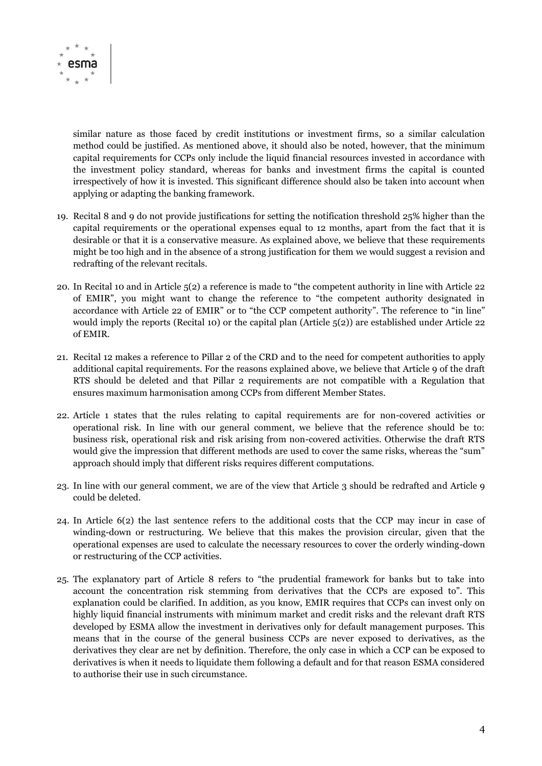

similar nature as those faced by credit institutions or investment firms, so a similar calculation method could be justified. As mentioned above, it should also be noted, however, that the minimum capital requirements for CCPs only include the liquid financial resources invested in accordance with the investment policy standard, whereas for banks and investment firms the capital is counted irrespectively of how it is invested. This significant difference should also be taken into account when applying or adapting the banking framework.

- 19. Recital 8 and 9 do not provide justifications for setting the notification threshold 25% higher than the capital requirements or the operational expenses equal to 12 months, apart from the fact that it is desirable or that it is a conservative measure. As explained above, we believe that these requirements might be too high and in the absence of a strong justification for them we would suggest a revision and redrafting of the relevant recitals.
- 20. In Recital 10 and in Article 5(2) a reference is made to "the competent authority in line with Article 22 of EMIR", you might want to change the reference to "the competent authority designated in accordance with Article 22 of EMIR" or to "the CCP competent authority". The reference to "in line" would imply the reports (Recital 10) or the capital plan (Article  $5(2)$ ) are established under Article 22 of EMIR.
- 21. Recital 12 makes a reference to Pillar 2 of the CRD and to the need for competent authorities to apply additional capital requirements. For the reasons explained above, we believe that Article 9 of the draft RTS should be deleted and that Pillar 2 requirements are not compatible with a Regulation that ensures maximum harmonisation among CCPs from different Member States.
- 22. Article 1 states that the rules relating to capital requirements are for non-covered activities or operational risk. In line with our general comment, we believe that the reference should be to: business risk, operational risk and risk arising from non-covered activities. Otherwise the draft RTS would give the impression that different methods are used to cover the same risks, whereas the "sum" approach should imply that different risks requires different computations.
- 23. In line with our general comment, we are of the view that Article 3 should be redrafted and Article 9 could be deleted.
- 24. In Article 6(2) the last sentence refers to the additional costs that the CCP may incur in case of winding-down or restructuring. We believe that this makes the provision circular, given that the operational expenses are used to calculate the necessary resources to cover the orderly winding-down or restructuring of the CCP activities.
- 25. The explanatory part of Article 8 refers to "the prudential framework for banks but to take into account the concentration risk stemming from derivatives that the CCPs are exposed to". This explanation could be clarified. In addition, as you know, EMIR requires that CCPs can invest only on highly liquid financial instruments with minimum market and credit risks and the relevant draft RTS developed by ESMA allow the investment in derivatives only for default management purposes. This means that in the course of the general business CCPs are never exposed to derivatives, as the derivatives they clear are net by definition. Therefore, the only case in which a CCP can be exposed to derivatives is when it needs to liquidate them following a default and for that reason ESMA considered to authorise their use in such circumstance.